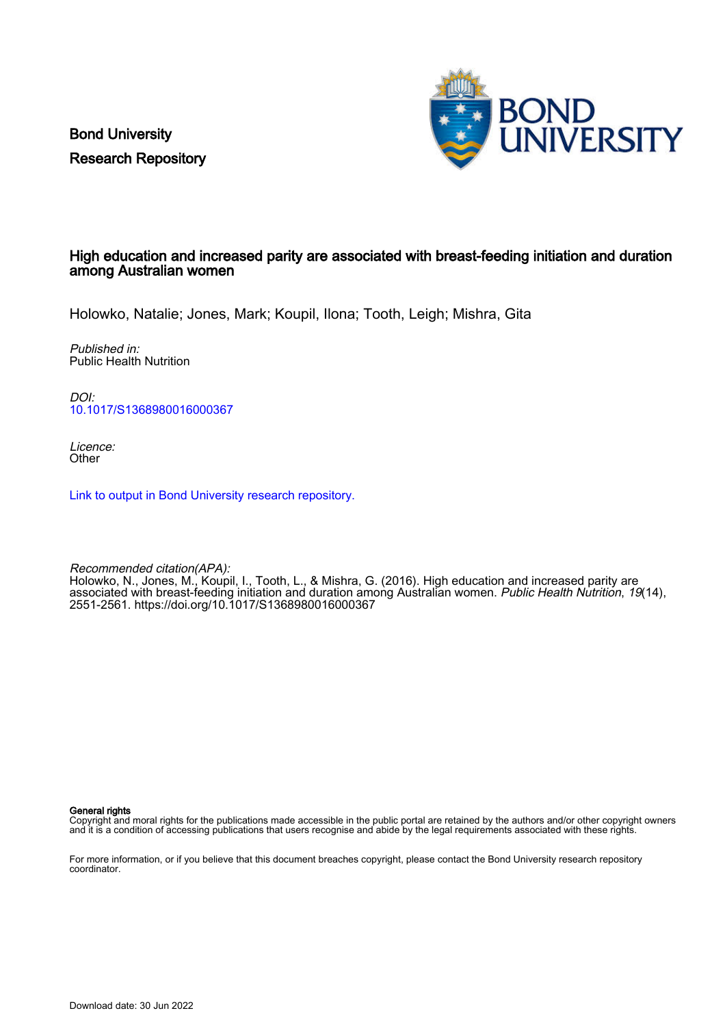Bond University Research Repository



#### High education and increased parity are associated with breast-feeding initiation and duration among Australian women

Holowko, Natalie; Jones, Mark; Koupil, Ilona; Tooth, Leigh; Mishra, Gita

Published in: Public Health Nutrition

DOI: [10.1017/S1368980016000367](https://doi.org/10.1017/S1368980016000367)

Licence: **Other** 

[Link to output in Bond University research repository.](https://research.bond.edu.au/en/publications/4b7b7978-84b5-4aa8-984e-36f0db180826)

Recommended citation(APA): Holowko, N., Jones, M., Koupil, I., Tooth, L., & Mishra, G. (2016). High education and increased parity are associated with breast-feeding initiation and duration among Australian women. *Public Health Nutrition, 19*(14), 2551-2561.<https://doi.org/10.1017/S1368980016000367>

General rights

Copyright and moral rights for the publications made accessible in the public portal are retained by the authors and/or other copyright owners and it is a condition of accessing publications that users recognise and abide by the legal requirements associated with these rights.

For more information, or if you believe that this document breaches copyright, please contact the Bond University research repository coordinator.